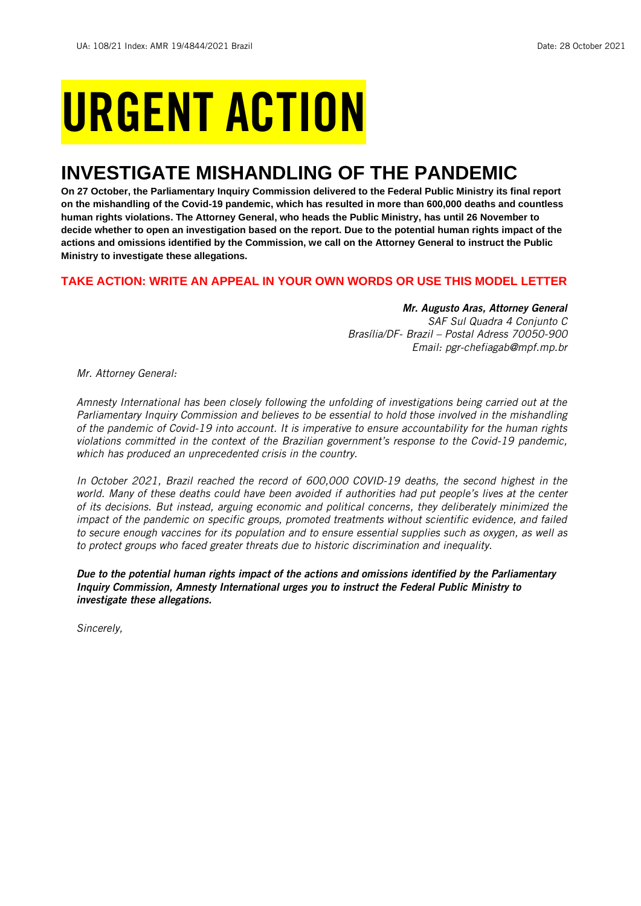# URGENT ACTION

## **INVESTIGATE MISHANDLING OF THE PANDEMIC**

**On 27 October, the Parliamentary Inquiry Commission delivered to the Federal Public Ministry its final report on the mishandling of the Covid-19 pandemic, which has resulted in more than 600,000 deaths and countless human rights violations. The Attorney General, who heads the Public Ministry, has until 26 November to decide whether to open an investigation based on the report. Due to the potential human rights impact of the actions and omissions identified by the Commission, we call on the Attorney General to instruct the Public Ministry to investigate these allegations.**

#### **TAKE ACTION: WRITE AN APPEAL IN YOUR OWN WORDS OR USE THIS MODEL LETTER**

#### *Mr. Augusto Aras, Attorney General*

*SAF Sul Quadra 4 Conjunto C Brasília/DF- Brazil – Postal Adress 70050-900 Email: pgr-chefiagab@mpf.mp.br*

*Mr. Attorney General:*

*Amnesty International has been closely following the unfolding of investigations being carried out at the Parliamentary Inquiry Commission and believes to be essential to hold those involved in the mishandling of the pandemic of Covid-19 into account. It is imperative to ensure accountability for the human rights violations committed in the context of the Brazilian government's response to the Covid-19 pandemic, which has produced an unprecedented crisis in the country.*

*In October 2021, Brazil reached the record of 600,000 COVID-19 deaths, the second highest in the world. Many of these deaths could have been avoided if authorities had put people's lives at the center of its decisions. But instead, arguing economic and political concerns, they deliberately minimized the impact of the pandemic on specific groups, promoted treatments without scientific evidence, and failed to secure enough vaccines for its population and to ensure essential supplies such as oxygen, as well as to protect groups who faced greater threats due to historic discrimination and inequality.*

*Due to the potential human rights impact of the actions and omissions identified by the Parliamentary Inquiry Commission, Amnesty International urges you to instruct the Federal Public Ministry to investigate these allegations.*

*Sincerely,*